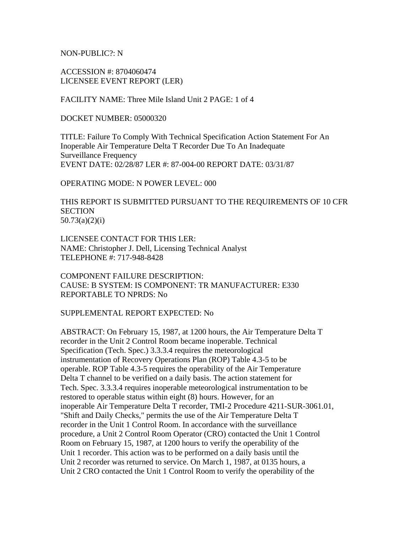NON-PUBLIC?: N

ACCESSION #: 8704060474 LICENSEE EVENT REPORT (LER)

FACILITY NAME: Three Mile Island Unit 2 PAGE: 1 of 4

DOCKET NUMBER: 05000320

TITLE: Failure To Comply With Technical Specification Action Statement For An Inoperable Air Temperature Delta T Recorder Due To An Inadequate Surveillance Frequency EVENT DATE: 02/28/87 LER #: 87-004-00 REPORT DATE: 03/31/87

#### OPERATING MODE: N POWER LEVEL: 000

THIS REPORT IS SUBMITTED PURSUANT TO THE REQUIREMENTS OF 10 CFR **SECTION** 50.73(a)(2)(i)

LICENSEE CONTACT FOR THIS LER: NAME: Christopher J. Dell, Licensing Technical Analyst TELEPHONE #: 717-948-8428

COMPONENT FAILURE DESCRIPTION: CAUSE: B SYSTEM: IS COMPONENT: TR MANUFACTURER: E330 REPORTABLE TO NPRDS: No

SUPPLEMENTAL REPORT EXPECTED: No

ABSTRACT: On February 15, 1987, at 1200 hours, the Air Temperature Delta T recorder in the Unit 2 Control Room became inoperable. Technical Specification (Tech. Spec.) 3.3.3.4 requires the meteorological instrumentation of Recovery Operations Plan (ROP) Table 4.3-5 to be operable. ROP Table 4.3-5 requires the operability of the Air Temperature Delta T channel to be verified on a daily basis. The action statement for Tech. Spec. 3.3.3.4 requires inoperable meteorological instrumentation to be restored to operable status within eight (8) hours. However, for an inoperable Air Temperature Delta T recorder, TMI-2 Procedure 4211-SUR-3061.01, "Shift and Daily Checks," permits the use of the Air Temperature Delta T recorder in the Unit 1 Control Room. In accordance with the surveillance procedure, a Unit 2 Control Room Operator (CRO) contacted the Unit 1 Control Room on February 15, 1987, at 1200 hours to verify the operability of the Unit 1 recorder. This action was to be performed on a daily basis until the Unit 2 recorder was returned to service. On March 1, 1987, at 0135 hours, a Unit 2 CRO contacted the Unit 1 Control Room to verify the operability of the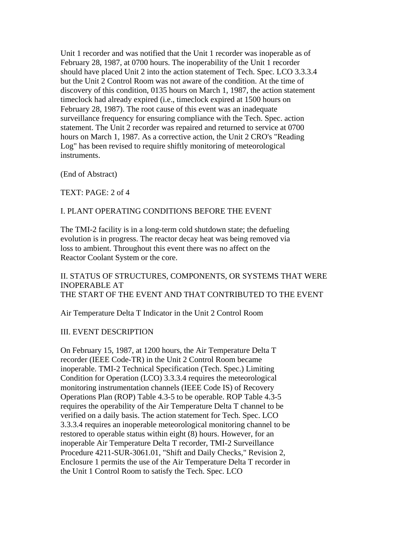Unit 1 recorder and was notified that the Unit 1 recorder was inoperable as of February 28, 1987, at 0700 hours. The inoperability of the Unit 1 recorder should have placed Unit 2 into the action statement of Tech. Spec. LCO 3.3.3.4 but the Unit 2 Control Room was not aware of the condition. At the time of discovery of this condition, 0135 hours on March 1, 1987, the action statement timeclock had already expired (i.e., timeclock expired at 1500 hours on February 28, 1987). The root cause of this event was an inadequate surveillance frequency for ensuring compliance with the Tech. Spec. action statement. The Unit 2 recorder was repaired and returned to service at 0700 hours on March 1, 1987. As a corrective action, the Unit 2 CRO's "Reading Log" has been revised to require shiftly monitoring of meteorological instruments.

(End of Abstract)

TEXT: PAGE: 2 of 4

#### I. PLANT OPERATING CONDITIONS BEFORE THE EVENT

The TMI-2 facility is in a long-term cold shutdown state; the defueling evolution is in progress. The reactor decay heat was being removed via loss to ambient. Throughout this event there was no affect on the Reactor Coolant System or the core.

II. STATUS OF STRUCTURES, COMPONENTS, OR SYSTEMS THAT WERE INOPERABLE AT THE START OF THE EVENT AND THAT CONTRIBUTED TO THE EVENT

Air Temperature Delta T Indicator in the Unit 2 Control Room

#### III. EVENT DESCRIPTION

On February 15, 1987, at 1200 hours, the Air Temperature Delta T recorder (IEEE Code-TR) in the Unit 2 Control Room became inoperable. TMI-2 Technical Specification (Tech. Spec.) Limiting Condition for Operation (LCO) 3.3.3.4 requires the meteorological monitoring instrumentation channels (IEEE Code IS) of Recovery Operations Plan (ROP) Table 4.3-5 to be operable. ROP Table 4.3-5 requires the operability of the Air Temperature Delta T channel to be verified on a daily basis. The action statement for Tech. Spec. LCO 3.3.3.4 requires an inoperable meteorological monitoring channel to be restored to operable status within eight (8) hours. However, for an inoperable Air Temperature Delta T recorder, TMI-2 Surveillance Procedure 4211-SUR-3061.01, "Shift and Daily Checks," Revision 2, Enclosure 1 permits the use of the Air Temperature Delta T recorder in the Unit 1 Control Room to satisfy the Tech. Spec. LCO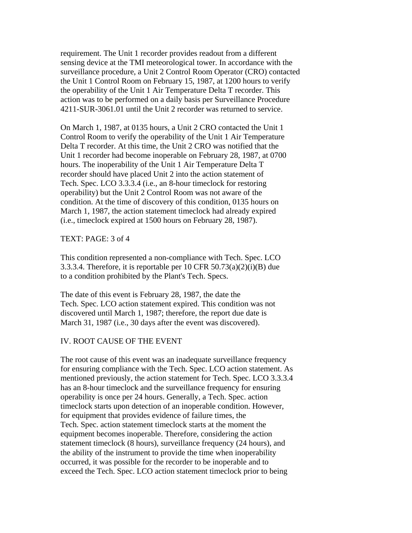requirement. The Unit 1 recorder provides readout from a different sensing device at the TMI meteorological tower. In accordance with the surveillance procedure, a Unit 2 Control Room Operator (CRO) contacted the Unit 1 Control Room on February 15, 1987, at 1200 hours to verify the operability of the Unit 1 Air Temperature Delta T recorder. This action was to be performed on a daily basis per Surveillance Procedure 4211-SUR-3061.01 until the Unit 2 recorder was returned to service.

On March 1, 1987, at 0135 hours, a Unit 2 CRO contacted the Unit 1 Control Room to verify the operability of the Unit 1 Air Temperature Delta T recorder. At this time, the Unit 2 CRO was notified that the Unit 1 recorder had become inoperable on February 28, 1987, at 0700 hours. The inoperability of the Unit 1 Air Temperature Delta T recorder should have placed Unit 2 into the action statement of Tech. Spec. LCO 3.3.3.4 (i.e., an 8-hour timeclock for restoring operability) but the Unit 2 Control Room was not aware of the condition. At the time of discovery of this condition, 0135 hours on March 1, 1987, the action statement timeclock had already expired (i.e., timeclock expired at 1500 hours on February 28, 1987).

TEXT: PAGE: 3 of 4

This condition represented a non-compliance with Tech. Spec. LCO 3.3.3.4. Therefore, it is reportable per 10 CFR  $50.73(a)(2)(i)(B)$  due to a condition prohibited by the Plant's Tech. Specs.

The date of this event is February 28, 1987, the date the Tech. Spec. LCO action statement expired. This condition was not discovered until March 1, 1987; therefore, the report due date is March 31, 1987 (i.e., 30 days after the event was discovered).

### IV. ROOT CAUSE OF THE EVENT

The root cause of this event was an inadequate surveillance frequency for ensuring compliance with the Tech. Spec. LCO action statement. As mentioned previously, the action statement for Tech. Spec. LCO 3.3.3.4 has an 8-hour timeclock and the surveillance frequency for ensuring operability is once per 24 hours. Generally, a Tech. Spec. action timeclock starts upon detection of an inoperable condition. However, for equipment that provides evidence of failure times, the Tech. Spec. action statement timeclock starts at the moment the equipment becomes inoperable. Therefore, considering the action statement timeclock (8 hours), surveillance frequency (24 hours), and the ability of the instrument to provide the time when inoperability occurred, it was possible for the recorder to be inoperable and to exceed the Tech. Spec. LCO action statement timeclock prior to being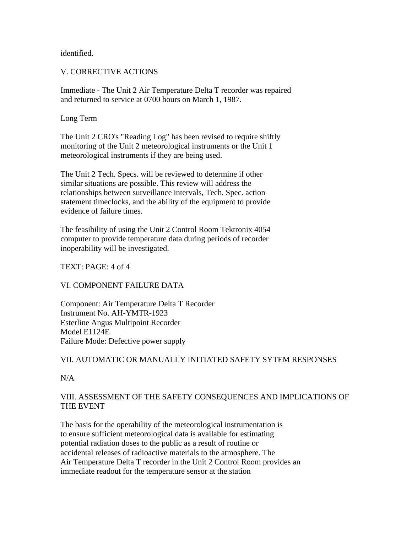identified.

## V. CORRECTIVE ACTIONS

Immediate - The Unit 2 Air Temperature Delta T recorder was repaired and returned to service at 0700 hours on March 1, 1987.

### Long Term

The Unit 2 CRO's "Reading Log" has been revised to require shiftly monitoring of the Unit 2 meteorological instruments or the Unit 1 meteorological instruments if they are being used.

The Unit 2 Tech. Specs. will be reviewed to determine if other similar situations are possible. This review will address the relationships between surveillance intervals, Tech. Spec. action statement timeclocks, and the ability of the equipment to provide evidence of failure times.

The feasibility of using the Unit 2 Control Room Tektronix 4054 computer to provide temperature data during periods of recorder inoperability will be investigated.

TEXT: PAGE: 4 of 4

### VI. COMPONENT FAILURE DATA

Component: Air Temperature Delta T Recorder Instrument No. AH-YMTR-1923 Esterline Angus Multipoint Recorder Model E1124E Failure Mode: Defective power supply

# VII. AUTOMATIC OR MANUALLY INITIATED SAFETY SYTEM RESPONSES

N/A

# VIII. ASSESSMENT OF THE SAFETY CONSEQUENCES AND IMPLICATIONS OF THE EVENT

The basis for the operability of the meteorological instrumentation is to ensure sufficient meteorological data is available for estimating potential radiation doses to the public as a result of routine or accidental releases of radioactive materials to the atmosphere. The Air Temperature Delta T recorder in the Unit 2 Control Room provides an immediate readout for the temperature sensor at the station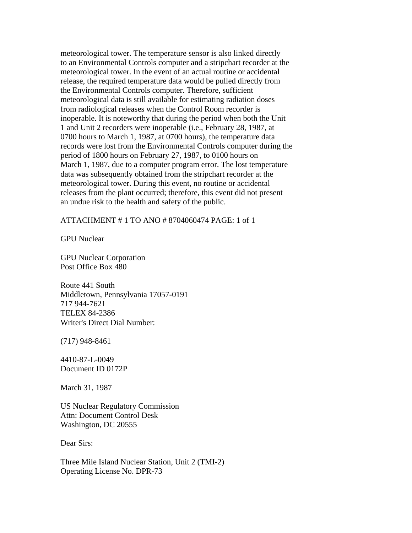meteorological tower. The temperature sensor is also linked directly to an Environmental Controls computer and a stripchart recorder at the meteorological tower. In the event of an actual routine or accidental release, the required temperature data would be pulled directly from the Environmental Controls computer. Therefore, sufficient meteorological data is still available for estimating radiation doses from radiological releases when the Control Room recorder is inoperable. It is noteworthy that during the period when both the Unit 1 and Unit 2 recorders were inoperable (i.e., February 28, 1987, at 0700 hours to March 1, 1987, at 0700 hours), the temperature data records were lost from the Environmental Controls computer during the period of 1800 hours on February 27, 1987, to 0100 hours on March 1, 1987, due to a computer program error. The lost temperature data was subsequently obtained from the stripchart recorder at the meteorological tower. During this event, no routine or accidental releases from the plant occurred; therefore, this event did not present an undue risk to the health and safety of the public.

#### ATTACHMENT # 1 TO ANO # 8704060474 PAGE: 1 of 1

GPU Nuclear

GPU Nuclear Corporation Post Office Box 480

Route 441 South Middletown, Pennsylvania 17057-0191 717 944-7621 TELEX 84-2386 Writer's Direct Dial Number:

(717) 948-8461

4410-87-L-0049 Document ID 0172P

March 31, 1987

US Nuclear Regulatory Commission Attn: Document Control Desk Washington, DC 20555

Dear Sirs:

Three Mile Island Nuclear Station, Unit 2 (TMI-2) Operating License No. DPR-73